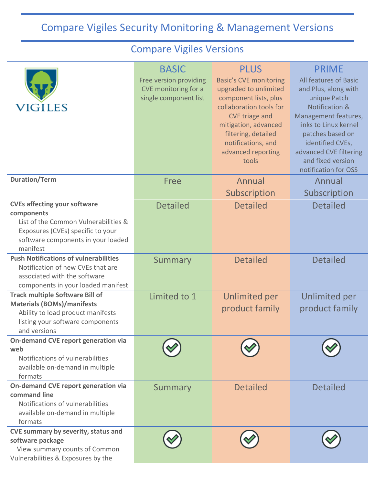## Compare Vigiles Security Monitoring & Management Versions

## Compare Vigiles Versions

| VIGILES                                                                                                                                                                          | <b>BASIC</b><br>Free version providing<br>CVE monitoring for a<br>single component list | <b>PLUS</b><br><b>Basic's CVE monitoring</b><br>upgraded to unlimited<br>component lists, plus<br>collaboration tools for<br>CVE triage and<br>mitigation, advanced<br>filtering, detailed<br>notifications, and<br>advanced reporting<br>tools | <b>PRIME</b><br>All features of Basic<br>and Plus, along with<br>unique Patch<br>Notification &<br>Management features,<br>links to Linux kernel<br>patches based on<br>identified CVEs,<br>advanced CVE filtering<br>and fixed version<br>notification for OSS |
|----------------------------------------------------------------------------------------------------------------------------------------------------------------------------------|-----------------------------------------------------------------------------------------|-------------------------------------------------------------------------------------------------------------------------------------------------------------------------------------------------------------------------------------------------|-----------------------------------------------------------------------------------------------------------------------------------------------------------------------------------------------------------------------------------------------------------------|
| <b>Duration/Term</b>                                                                                                                                                             | Free                                                                                    | Annual<br>Subscription                                                                                                                                                                                                                          | Annual<br>Subscription                                                                                                                                                                                                                                          |
| <b>CVEs affecting your software</b><br>components<br>List of the Common Vulnerabilities &<br>Exposures (CVEs) specific to your<br>software components in your loaded<br>manifest | <b>Detailed</b>                                                                         | <b>Detailed</b>                                                                                                                                                                                                                                 | <b>Detailed</b>                                                                                                                                                                                                                                                 |
| <b>Push Notifications of vulnerabilities</b><br>Notification of new CVEs that are<br>associated with the software<br>components in your loaded manifest                          | Summary                                                                                 | <b>Detailed</b>                                                                                                                                                                                                                                 | <b>Detailed</b>                                                                                                                                                                                                                                                 |
| <b>Track multiple Software Bill of</b><br><b>Materials (BOMs)/manifests</b><br>Ability to load product manifests<br>listing your software components<br>and versions             | Limited to 1                                                                            | <b>Unlimited per</b><br>product family                                                                                                                                                                                                          | <b>Unlimited per</b><br>product family                                                                                                                                                                                                                          |
| On-demand CVE report generation via<br>web<br>Notifications of vulnerabilities<br>available on-demand in multiple<br>formats                                                     |                                                                                         |                                                                                                                                                                                                                                                 |                                                                                                                                                                                                                                                                 |
| On-demand CVE report generation via<br>command line<br>Notifications of vulnerabilities<br>available on-demand in multiple<br>formats                                            | Summary                                                                                 | <b>Detailed</b>                                                                                                                                                                                                                                 | <b>Detailed</b>                                                                                                                                                                                                                                                 |
| CVE summary by severity, status and<br>software package<br>View summary counts of Common<br>Vulnerabilities & Exposures by the                                                   |                                                                                         |                                                                                                                                                                                                                                                 |                                                                                                                                                                                                                                                                 |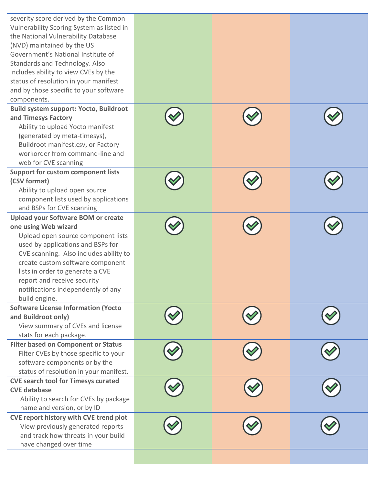| severity score derived by the Common<br>Vulnerability Scoring System as listed in<br>the National Vulnerability Database<br>(NVD) maintained by the US<br>Government's National Institute of<br>Standards and Technology. Also<br>includes ability to view CVEs by the<br>status of resolution in your manifest<br>and by those specific to your software<br>components. |  |  |
|--------------------------------------------------------------------------------------------------------------------------------------------------------------------------------------------------------------------------------------------------------------------------------------------------------------------------------------------------------------------------|--|--|
| <b>Build system support: Yocto, Buildroot</b><br>and Timesys Factory<br>Ability to upload Yocto manifest<br>(generated by meta-timesys),<br>Buildroot manifest.csv, or Factory<br>workorder from command-line and<br>web for CVE scanning                                                                                                                                |  |  |
| <b>Support for custom component lists</b><br>(CSV format)<br>Ability to upload open source<br>component lists used by applications<br>and BSPs for CVE scanning                                                                                                                                                                                                          |  |  |
| <b>Upload your Software BOM or create</b><br>one using Web wizard<br>Upload open source component lists<br>used by applications and BSPs for<br>CVE scanning. Also includes ability to<br>create custom software component<br>lists in order to generate a CVE<br>report and receive security<br>notifications independently of any<br>build engine.                     |  |  |
| <b>Software License Information (Yocto</b><br>and Buildroot only)<br>View summary of CVEs and license<br>stats for each package.                                                                                                                                                                                                                                         |  |  |
| <b>Filter based on Component or Status</b><br>Filter CVEs by those specific to your<br>software components or by the<br>status of resolution in your manifest.                                                                                                                                                                                                           |  |  |
| <b>CVE search tool for Timesys curated</b><br><b>CVE database</b><br>Ability to search for CVEs by package<br>name and version, or by ID                                                                                                                                                                                                                                 |  |  |
| CVE report history with CVE trend plot<br>View previously generated reports<br>and track how threats in your build<br>have changed over time                                                                                                                                                                                                                             |  |  |
|                                                                                                                                                                                                                                                                                                                                                                          |  |  |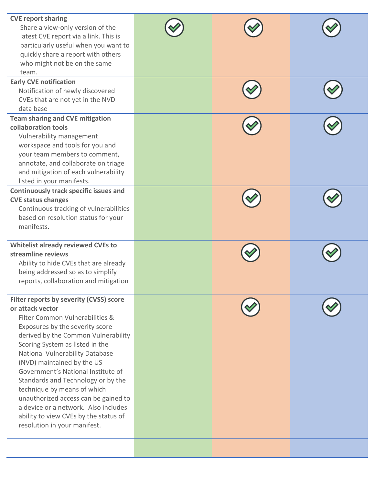| <b>CVE report sharing</b><br>Share a view-only version of the<br>latest CVE report via a link. This is<br>particularly useful when you want to<br>quickly share a report with others<br>who might not be on the same<br>team.                                                                                                                                                                                                                                                                                                                    |  |  |
|--------------------------------------------------------------------------------------------------------------------------------------------------------------------------------------------------------------------------------------------------------------------------------------------------------------------------------------------------------------------------------------------------------------------------------------------------------------------------------------------------------------------------------------------------|--|--|
| <b>Early CVE notification</b><br>Notification of newly discovered<br>CVEs that are not yet in the NVD<br>data base                                                                                                                                                                                                                                                                                                                                                                                                                               |  |  |
| <b>Team sharing and CVE mitigation</b><br>collaboration tools<br>Vulnerability management<br>workspace and tools for you and<br>your team members to comment,<br>annotate, and collaborate on triage<br>and mitigation of each vulnerability<br>listed in your manifests.                                                                                                                                                                                                                                                                        |  |  |
| <b>Continuously track specific issues and</b><br><b>CVE status changes</b><br>Continuous tracking of vulnerabilities<br>based on resolution status for your<br>manifests.                                                                                                                                                                                                                                                                                                                                                                        |  |  |
| Whitelist already reviewed CVEs to<br>streamline reviews<br>Ability to hide CVEs that are already<br>being addressed so as to simplify<br>reports, collaboration and mitigation                                                                                                                                                                                                                                                                                                                                                                  |  |  |
| Filter reports by severity (CVSS) score<br>or attack vector<br>Filter Common Vulnerabilities &<br>Exposures by the severity score<br>derived by the Common Vulnerability<br>Scoring System as listed in the<br>National Vulnerability Database<br>(NVD) maintained by the US<br>Government's National Institute of<br>Standards and Technology or by the<br>technique by means of which<br>unauthorized access can be gained to<br>a device or a network. Also includes<br>ability to view CVEs by the status of<br>resolution in your manifest. |  |  |
|                                                                                                                                                                                                                                                                                                                                                                                                                                                                                                                                                  |  |  |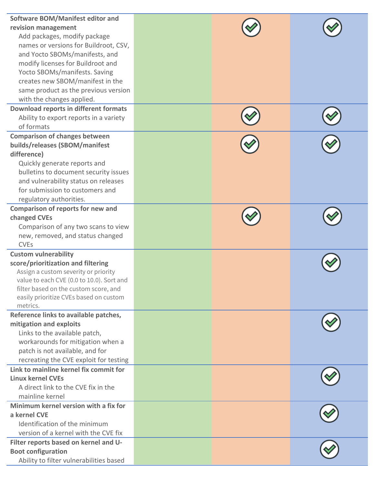| <b>Software BOM/Manifest editor and</b><br>revision management<br>Add packages, modify package<br>names or versions for Buildroot, CSV,<br>and Yocto SBOMs/manifests, and<br>modify licenses for Buildroot and<br>Yocto SBOMs/manifests. Saving<br>creates new SBOM/manifest in the<br>same product as the previous version<br>with the changes applied. |  |  |
|----------------------------------------------------------------------------------------------------------------------------------------------------------------------------------------------------------------------------------------------------------------------------------------------------------------------------------------------------------|--|--|
| <b>Download reports in different formats</b><br>Ability to export reports in a variety<br>of formats                                                                                                                                                                                                                                                     |  |  |
| <b>Comparison of changes between</b><br>builds/releases (SBOM/manifest<br>difference)<br>Quickly generate reports and<br>bulletins to document security issues<br>and vulnerability status on releases<br>for submission to customers and<br>regulatory authorities.                                                                                     |  |  |
| <b>Comparison of reports for new and</b><br>changed CVEs<br>Comparison of any two scans to view<br>new, removed, and status changed<br><b>CVEs</b>                                                                                                                                                                                                       |  |  |
| <b>Custom vulnerability</b><br>score/prioritization and filtering<br>Assign a custom severity or priority<br>value to each CVE (0.0 to 10.0). Sort and<br>filter based on the custom score, and<br>easily prioritize CVEs based on custom<br>metrics.                                                                                                    |  |  |
| Reference links to available patches,<br>mitigation and exploits<br>Links to the available patch,<br>workarounds for mitigation when a<br>patch is not available, and for<br>recreating the CVE exploit for testing                                                                                                                                      |  |  |
| Link to mainline kernel fix commit for<br><b>Linux kernel CVEs</b><br>A direct link to the CVE fix in the<br>mainline kernel                                                                                                                                                                                                                             |  |  |
| Minimum kernel version with a fix for<br>a kernel CVE<br>Identification of the minimum<br>version of a kernel with the CVE fix                                                                                                                                                                                                                           |  |  |
| Filter reports based on kernel and U-<br><b>Boot configuration</b><br>Ability to filter vulnerabilities based                                                                                                                                                                                                                                            |  |  |